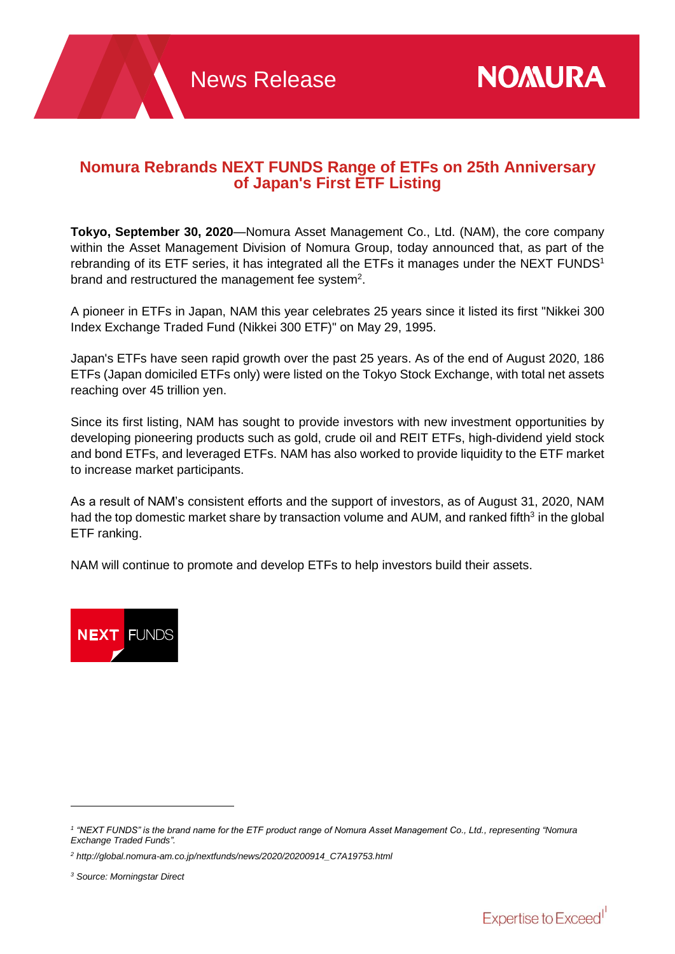# **Nomura Rebrands NEXT FUNDS Range of ETFs on 25th Anniversary of Japan's First ETF Listing**

**Tokyo, September 30, 2020**—Nomura Asset Management Co., Ltd. (NAM), the core company within the Asset Management Division of Nomura Group, today announced that, as part of the rebranding of its ETF series, it has integrated all the ETFs it manages under the NEXT FUNDS<sup>1</sup> brand and restructured the management fee system<sup>2</sup>.

A pioneer in ETFs in Japan, NAM this year celebrates 25 years since it listed its first "Nikkei 300 Index Exchange Traded Fund (Nikkei 300 ETF)" on May 29, 1995.

Japan's ETFs have seen rapid growth over the past 25 years. As of the end of August 2020, 186 ETFs (Japan domiciled ETFs only) were listed on the Tokyo Stock Exchange, with total net assets reaching over 45 trillion yen.

Since its first listing, NAM has sought to provide investors with new investment opportunities by developing pioneering products such as gold, crude oil and REIT ETFs, high-dividend yield stock and bond ETFs, and leveraged ETFs. NAM has also worked to provide liquidity to the ETF market to increase market participants.

As a result of NAM's consistent efforts and the support of investors, as of August 31, 2020, NAM had the top domestic market share by transaction volume and AUM, and ranked fifth<sup>3</sup> in the global ETF ranking.

NAM will continue to promote and develop ETFs to help investors build their assets.





*<sup>1</sup> "NEXT FUNDS" is the brand name for the ETF product range of Nomura Asset Management Co., Ltd., representing "Nomura Exchange Traded Funds".*

*<sup>2</sup> http://global.nomura-am.co.jp/nextfunds/news/2020/20200914\_C7A19753.html*

*<sup>3</sup> Source: Morningstar Direct*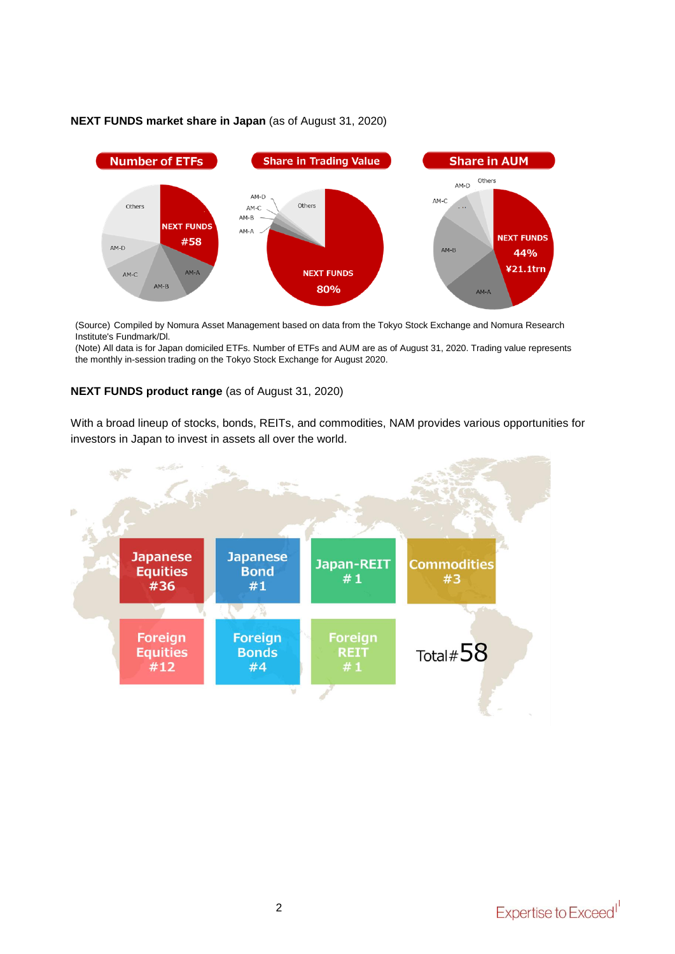

# **NEXT FUNDS market share in Japan** (as of August 31, 2020)

(Source) Compiled by Nomura Asset Management based on data from the Tokyo Stock Exchange and Nomura Research Institute's Fundmark/Dl.

(Note) All data is for Japan domiciled ETFs. Number of ETFs and AUM are as of August 31, 2020. Trading value represents the monthly in-session trading on the Tokyo Stock Exchange for August 2020.

# **NEXT FUNDS product range** (as of August 31, 2020)

With a broad lineup of stocks, bonds, REITs, and commodities, NAM provides various opportunities for investors in Japan to invest in assets all over the world.

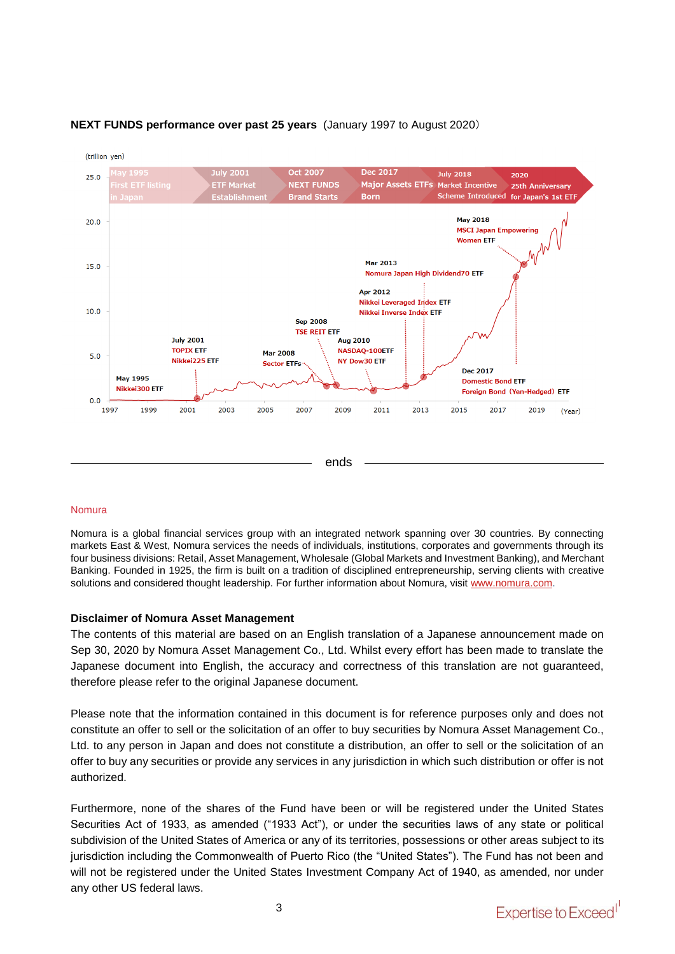

# **NEXT FUNDS performance over past 25 years** (January 1997 to August 2020)

### Nomura

Nomura is a global financial services group with an integrated network spanning over 30 countries. By connecting markets East & West, Nomura services the needs of individuals, institutions, corporates and governments through its four business divisions: Retail, Asset Management, Wholesale (Global Markets and Investment Banking), and Merchant Banking. Founded in 1925, the firm is built on a tradition of disciplined entrepreneurship, serving clients with creative solutions and considered thought leadership. For further information about Nomura, visit [www.nomura.com.](https://www.nomura.com/)

### **Disclaimer of Nomura Asset Management**

The contents of this material are based on an English translation of a Japanese announcement made on Sep 30, 2020 by Nomura Asset Management Co., Ltd. Whilst every effort has been made to translate the Japanese document into English, the accuracy and correctness of this translation are not guaranteed, therefore please refer to the original Japanese document.

Please note that the information contained in this document is for reference purposes only and does not constitute an offer to sell or the solicitation of an offer to buy securities by Nomura Asset Management Co., Ltd. to any person in Japan and does not constitute a distribution, an offer to sell or the solicitation of an offer to buy any securities or provide any services in any jurisdiction in which such distribution or offer is not authorized.

Furthermore, none of the shares of the Fund have been or will be registered under the United States Securities Act of 1933, as amended ("1933 Act"), or under the securities laws of any state or political subdivision of the United States of America or any of its territories, possessions or other areas subject to its jurisdiction including the Commonwealth of Puerto Rico (the "United States"). The Fund has not been and will not be registered under the United States Investment Company Act of 1940, as amended, nor under any other US federal laws.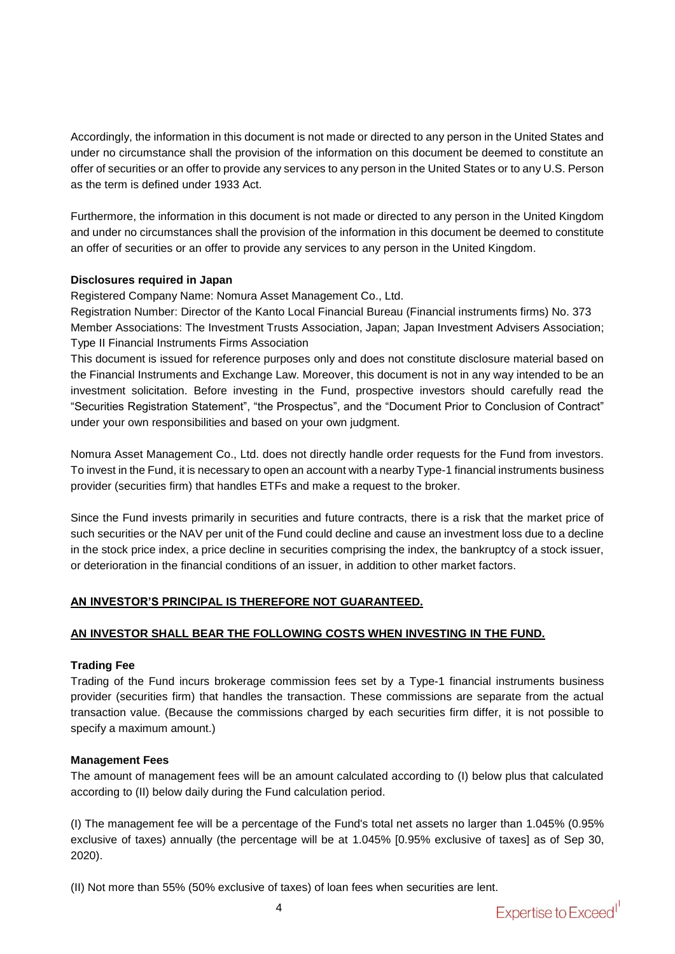Accordingly, the information in this document is not made or directed to any person in the United States and under no circumstance shall the provision of the information on this document be deemed to constitute an offer of securities or an offer to provide any services to any person in the United States or to any U.S. Person as the term is defined under 1933 Act.

Furthermore, the information in this document is not made or directed to any person in the United Kingdom and under no circumstances shall the provision of the information in this document be deemed to constitute an offer of securities or an offer to provide any services to any person in the United Kingdom.

## **Disclosures required in Japan**

Registered Company Name: Nomura Asset Management Co., Ltd.

Registration Number: Director of the Kanto Local Financial Bureau (Financial instruments firms) No. 373 Member Associations: The Investment Trusts Association, Japan; Japan Investment Advisers Association; Type II Financial Instruments Firms Association

This document is issued for reference purposes only and does not constitute disclosure material based on the Financial Instruments and Exchange Law. Moreover, this document is not in any way intended to be an investment solicitation. Before investing in the Fund, prospective investors should carefully read the "Securities Registration Statement", "the Prospectus", and the "Document Prior to Conclusion of Contract" under your own responsibilities and based on your own judgment.

Nomura Asset Management Co., Ltd. does not directly handle order requests for the Fund from investors. To invest in the Fund, it is necessary to open an account with a nearby Type-1 financial instruments business provider (securities firm) that handles ETFs and make a request to the broker.

Since the Fund invests primarily in securities and future contracts, there is a risk that the market price of such securities or the NAV per unit of the Fund could decline and cause an investment loss due to a decline in the stock price index, a price decline in securities comprising the index, the bankruptcy of a stock issuer, or deterioration in the financial conditions of an issuer, in addition to other market factors.

# **AN INVESTOR'S PRINCIPAL IS THEREFORE NOT GUARANTEED.**

# **AN INVESTOR SHALL BEAR THE FOLLOWING COSTS WHEN INVESTING IN THE FUND.**

## **Trading Fee**

Trading of the Fund incurs brokerage commission fees set by a Type-1 financial instruments business provider (securities firm) that handles the transaction. These commissions are separate from the actual transaction value. (Because the commissions charged by each securities firm differ, it is not possible to specify a maximum amount.)

## **Management Fees**

The amount of management fees will be an amount calculated according to (I) below plus that calculated according to (II) below daily during the Fund calculation period.

(I) The management fee will be a percentage of the Fund's total net assets no larger than 1.045% (0.95% exclusive of taxes) annually (the percentage will be at 1.045% [0.95% exclusive of taxes] as of Sep 30, 2020).

(II) Not more than 55% (50% exclusive of taxes) of loan fees when securities are lent.